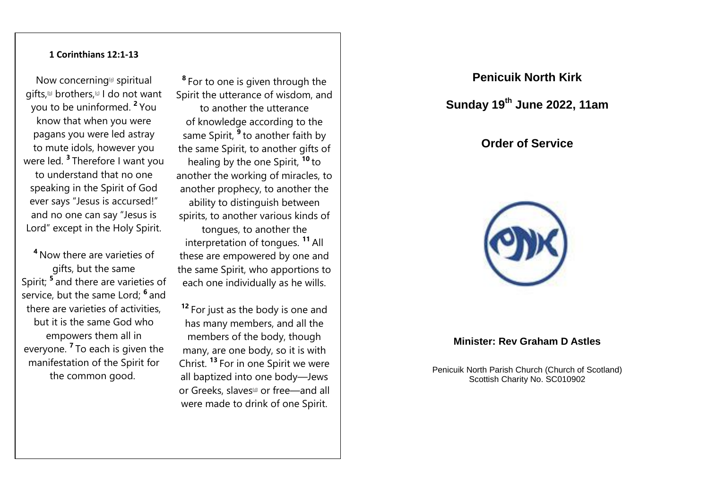#### **1 Corinthians 12:1-13**

Now concerning[\[a\]](https://www.biblegateway.com/passage/?search=1+cor+12&version=ESVUK#fen-ESVUK-28619a) spiritual gifts,<sup>N</sup> brothers,<sup>N</sup> I do not want you to be uninformed. **<sup>2</sup>** You know that when you were pagans you were led astray to mute idols, however you were led. **<sup>3</sup>** Therefore I want you to understand that no one speaking in the Spirit of God ever says "Jesus is accursed!" and no one can say "Jesus is Lord" except in the Holy Spirit.

**<sup>4</sup>** Now there are varieties of gifts, but the same Spirit; **<sup>5</sup>** and there are varieties of service, but the same Lord; **<sup>6</sup>** and there are varieties of activities, but it is the same God who empowers them all in everyone. **<sup>7</sup>** To each is given the manifestation of the Spirit for the common good.

**8** For to one is given through the Spirit the utterance of wisdom, and to another the utterance of knowledge according to the same Spirit, **<sup>9</sup>** to another faith by the same Spirit, to another gifts of healing by the one Spirit, **<sup>10</sup>** to another the working of miracles, to another prophecy, to another the ability to distinguish between spirits, to another various kinds of tongues, to another the interpretation of tongues. **<sup>11</sup>** All these are empowered by one and the same Spirit, who apportions to each one individually as he wills.

**<sup>12</sup>** For just as the body is one and has many members, and all the members of the body, though many, are one body, so it is with Christ. **<sup>13</sup>** For in one Spirit we were all baptized into one body—Jews or Greeks, slaves<sup>[\[d\]](https://www.biblegateway.com/passage/?search=1+cor+12&version=ESVUK#fen-ESVUK-28631d)</sup> or free—and all were made to drink of one Spirit.

# **Penicuik North Kirk**

# **Sunday 19 th June 2022, 11am**

## **Order of Service**



## **Minister: Rev Graham D Astles**

Penicuik North Parish Church (Church of Scotland) Scottish Charity No. SC010902